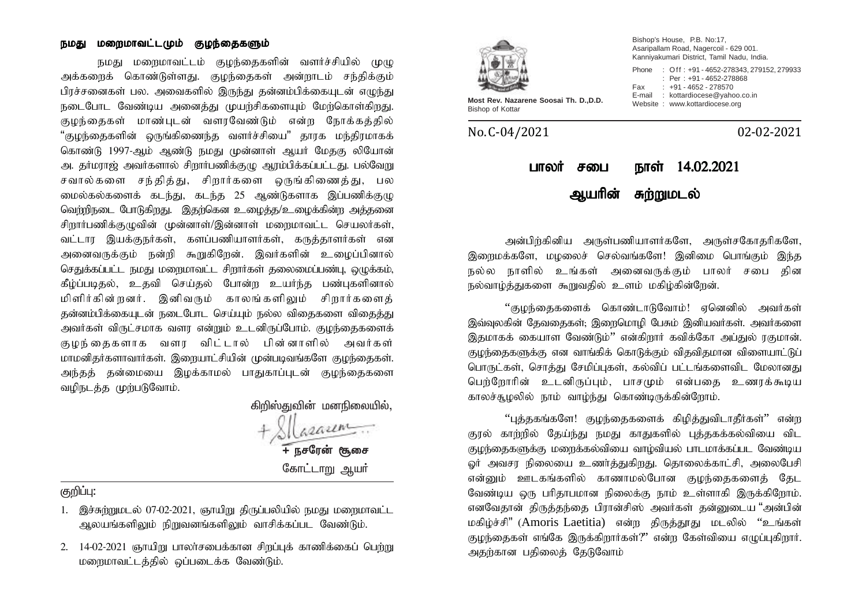#### நமது மறைமாவட்டமும் குழந்தைகளும்

நமது மறைமாவட்டம் குழந்தைகளின் வளர்ச்சியில் முழு அக்களைக் கொண்டுள்ளது. குழந்தைகள் அன்றாடம் சந்திக்கும் பிரச்சனைகள் பல. அவைகளில் இருந்து தன்னம்பிக்கையுடன் எழுந்து நடைபோட வேண்டிய அனைத்து முயற்சிகளையும் மேற்கொள்கிறது. குழந்தைகள் மாண்புடன் வளரவேண்டும் என்ற நோக்கத்தில் "குமந்தைகளின் ஹங்கிணைந்த வளர்ச்சியை" காரக மந்திரமாகக் கொண்டு 1997-ஆம் ஆண்டு நமது முன்னாள் ஆயர் மேதகு லியோன் அ. தர்மராஜ் அவர்களால் சிறார்பணிக்குமு அரம்பிக்கப்பட்டது. பல்வேறு சவால்களை சந்தித்து, சிறார்களை ஒருங்கிணைத்து, பல மைல்கல்களைக் கடந்து, கடந்த 25 ஆண்டுகளாக இப்பணிக்குழு வெற்றிநடை போடுகிறது. இதற்கென உழைத்த/உழைக்கின்ற அத்தனை சிறார்பணிக்குமுவின் முன்னாள்/இன்னாள் மறைமாவட்ட செயலர்கள், வட்டார இயக்குநர்கள், களப்பணியாளர்கள், கருத்தாளர்கள் என அனைவருக்கும் நன்றி கூறுகிறேன். இவர்களின் உழைப்பினால் செதுக்கப்பட்ட நமது மறைமாவட்ட சிறார்கள் தலைமைப்பண்பு, ஒழுக்கம், கீழ்ப்படிதல், உதவி செய்தல் போன்ற உயர்ந்த பண்புகளினால் மிளிர்கின்றனர். இனிவரும் காலங்களிலும் சிறார்களைக் தன்னம்பிக்கையுடன் நடைபோட செய்யும் நல்ல விதைகளை விதைத்து அவர்கள் விருட்சமாக வளர என்றும் உடனிருப்போம். குழந்தைகளைக் குழந்தைகளாக வளர விட்டால் பின்னாளில் அவர்கள் மாமனிதர்களாவார்கள். இறையாட்சியின் முன்படிவங்களே குழந்தைகள். அந்தத் தன்மையை இழக்காமல் பாதுகாப்புடன் குழந்தைகளை வழிநடத்த முற்படுவோம்.

> கிறிஸ்துவின் மனநிலையில், asaum **+ நசரேன் சூசை** கோட்டாறு ஆயர்

## குறிப்பு:

- 1. இச்சுற்றுமடல் 07-02-2021, ஞாயிறு திருப்பலியில் நமது மறைமாவட்ட ஆலயங்களிலும் நிறுவனங்களிலும் வாசிக்கப்பட வேண்டும்.
- $2.$  14-02-2021 ஞாயிறு பாலர்சபைக்கான சிறப்புக் காணிக்கைப் பெற்று மறைமாவட்டத்தில் ஒப்படைக்க வேண்டும்.



Bishop's House, P.B. No:17, Asaripallam Road, Nagercoil - 629 001. Kanniyakumari District, Tamil Nadu, India. Phone : Off : +91 - 4652-278343, 279152, 279933 : Per : +91 - 4652-278868 Fax : +91 - 4652 - 278570 E-mail : kottardiocese@yahoo.co.in

Most Rev. Nazarene Soosai Th. D., D.D.<br>Bishop of Kottar

No. C-04/2021 02-02-2021

# பாலர் சபை நாள் 14.02.2021 ஆயரின் சுற்றுமடல்

அன்பிர்கினிய அருள்பணியாளர்களே, அருள்சகோதரிகளே, இறைமக்களே, மழலைச் செல்வங்களே! இனிமை பொங்கும் இந்த நல்ல நாளில் உங்கள் அனைவருக்கும் பாலர் சபை கின நல்வாம்த்துகளை கூறுவதில் உளம் மகிம்கின்றேன்.

"குமந்தைகளைக் கொண்டாடுவோம்! எனெனில் அவர்கள் இவ்வுலகின் தேவகைகள்; இரைமொழி பேசும் இனியவர்கள். அவர்களை இதமாகக் கையாள வேண்டும்'' என்கிறார் கவிக்கோ அப்துல் ரகுமான். குழந்தைகளுக்கு என வாங்கிக் கொடுக்கும் விதவிதமான விளையாட்டுப் பொருட்கள், சொத்து சேமிப்புகள், கல்விப் பட்டங்களைவிட மேலானது பெற்றோரின் உடனிருப்பும், பாசமும் என்பதை உணரக்கூடிய காலச்சூமலில் நாம் வாம்ந்து கொண்டிருக்கின்றோம்.

"புத்தகங்களே! குழந்தைகளைக் கிழித்துவிடாதீர்கள்" என்ற குரல் காற்றில் தேய்ந்து நமது காதுகளில் புத்தகக்கல்வியை விட குழந்தைகளுக்கு மறைக்கல்வியை வாழ்வியல் பாடமாக்கப்பட வேண்டிய லர் அவசர நிலையை உணர்த்துகிறது. தொலைக்காட்சி, அலைபேசி என்னும் ஊடகங்களில் காணாமல்போன குழந்தைகளைத் தேட வேண்டிய ஒரு பரிதாபமான நிலைக்கு நாம் உள்ளாகி இருக்கிறோம். எனவேதான் திருத்தந்தை பிரான்சிஸ் அவர்கள் தன்னுடைய "அன்பின் மகிழ்ச்சி" (Amoris Laetitia) என்ற திருத்தூது மடலில் "உங்கள் குழந்தைகள் எங்கே இருக்கிறார்கள்?" என்ற கேள்வியை எழுப்புகிறார். அதற்கான பதிலைத் தேடுவோம்